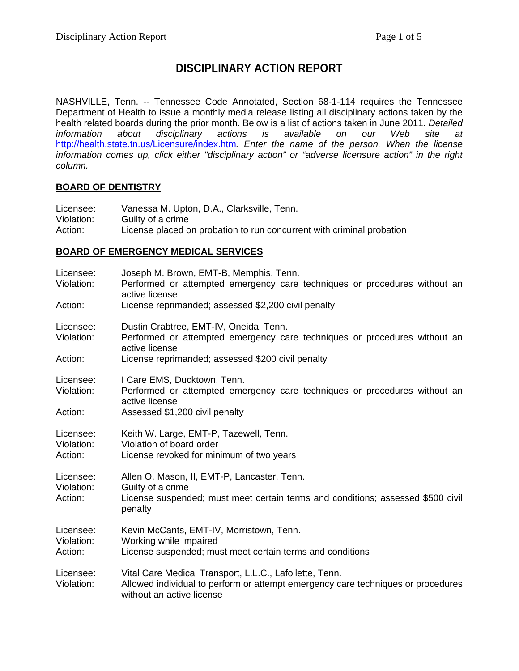# **DISCIPLINARY ACTION REPORT**

NASHVILLE, Tenn. -- Tennessee Code Annotated, Section 68-1-114 requires the Tennessee Department of Health to issue a monthly media release listing all disciplinary actions taken by the health related boards during the prior month. Below is a list of actions taken in June 2011. *Detailed information about disciplinary actions is available on our Web site at*  http://health.state.tn.us/Licensure/index.htm*. Enter the name of the person. When the license information comes up, click either "disciplinary action" or "adverse licensure action" in the right column.* 

#### **BOARD OF DENTISTRY**

| Licensee:  | Vanessa M. Upton, D.A., Clarksville, Tenn.                            |
|------------|-----------------------------------------------------------------------|
| Violation: | Guilty of a crime                                                     |
| Action:    | License placed on probation to run concurrent with criminal probation |

## **BOARD OF EMERGENCY MEDICAL SERVICES**

| Licensee:<br>Violation:            | Joseph M. Brown, EMT-B, Memphis, Tenn.<br>Performed or attempted emergency care techniques or procedures without an<br>active license                                                      |
|------------------------------------|--------------------------------------------------------------------------------------------------------------------------------------------------------------------------------------------|
| Action:                            | License reprimanded; assessed \$2,200 civil penalty                                                                                                                                        |
| Licensee:<br>Violation:<br>Action: | Dustin Crabtree, EMT-IV, Oneida, Tenn.<br>Performed or attempted emergency care techniques or procedures without an<br>active license<br>License reprimanded; assessed \$200 civil penalty |
| Licensee:<br>Violation:<br>Action: | I Care EMS, Ducktown, Tenn.<br>Performed or attempted emergency care techniques or procedures without an<br>active license<br>Assessed \$1,200 civil penalty                               |
| Licensee:<br>Violation:<br>Action: | Keith W. Large, EMT-P, Tazewell, Tenn.<br>Violation of board order<br>License revoked for minimum of two years                                                                             |
| Licensee:<br>Violation:<br>Action: | Allen O. Mason, II, EMT-P, Lancaster, Tenn.<br>Guilty of a crime<br>License suspended; must meet certain terms and conditions; assessed \$500 civil<br>penalty                             |
| Licensee:<br>Violation:<br>Action: | Kevin McCants, EMT-IV, Morristown, Tenn.<br>Working while impaired<br>License suspended; must meet certain terms and conditions                                                            |
| Licensee:<br>Violation:            | Vital Care Medical Transport, L.L.C., Lafollette, Tenn.<br>Allowed individual to perform or attempt emergency care techniques or procedures<br>without an active license                   |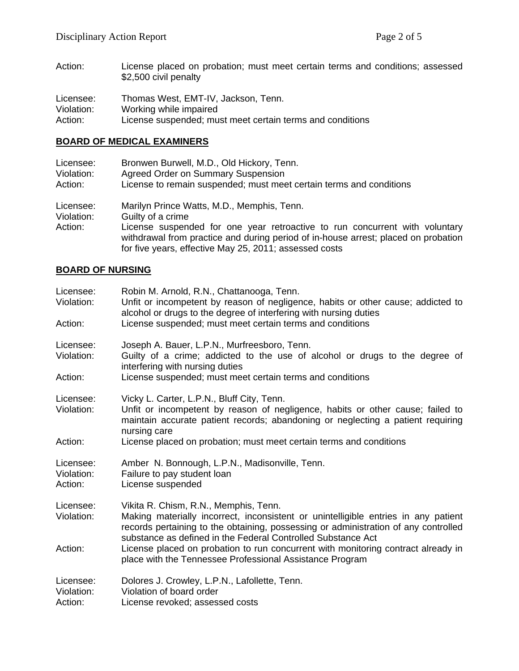Action: License placed on probation; must meet certain terms and conditions; assessed \$2,500 civil penalty

| Licensee:  | Thomas West, EMT-IV, Jackson, Tenn.                       |
|------------|-----------------------------------------------------------|
| Violation: | Working while impaired                                    |
| Action:    | License suspended; must meet certain terms and conditions |

## **BOARD OF MEDICAL EXAMINERS**

| Licensee:                          | Bronwen Burwell, M.D., Old Hickory, Tenn.                                                                                                                                                                                                                                                      |
|------------------------------------|------------------------------------------------------------------------------------------------------------------------------------------------------------------------------------------------------------------------------------------------------------------------------------------------|
| Violation:                         | <b>Agreed Order on Summary Suspension</b>                                                                                                                                                                                                                                                      |
| Action:                            | License to remain suspended; must meet certain terms and conditions                                                                                                                                                                                                                            |
| Licensee:<br>Violation:<br>Action: | Marilyn Prince Watts, M.D., Memphis, Tenn.<br>Guilty of a crime<br>License suspended for one year retroactive to run concurrent with voluntary<br>withdrawal from practice and during period of in-house arrest; placed on probation<br>for five years, effective May 25, 2011; assessed costs |

#### **BOARD OF NURSING**

| Licensee:<br>Violation:<br>Action: | Robin M. Arnold, R.N., Chattanooga, Tenn.<br>Unfit or incompetent by reason of negligence, habits or other cause; addicted to<br>alcohol or drugs to the degree of interfering with nursing duties<br>License suspended; must meet certain terms and conditions                    |
|------------------------------------|------------------------------------------------------------------------------------------------------------------------------------------------------------------------------------------------------------------------------------------------------------------------------------|
|                                    |                                                                                                                                                                                                                                                                                    |
| Licensee:<br>Violation:            | Joseph A. Bauer, L.P.N., Murfreesboro, Tenn.<br>Guilty of a crime; addicted to the use of alcohol or drugs to the degree of<br>interfering with nursing duties                                                                                                                     |
| Action:                            | License suspended; must meet certain terms and conditions                                                                                                                                                                                                                          |
| Licensee:<br>Violation:            | Vicky L. Carter, L.P.N., Bluff City, Tenn.<br>Unfit or incompetent by reason of negligence, habits or other cause; failed to<br>maintain accurate patient records; abandoning or neglecting a patient requiring<br>nursing care                                                    |
| Action:                            | License placed on probation; must meet certain terms and conditions                                                                                                                                                                                                                |
| Licensee:<br>Violation:<br>Action: | Amber N. Bonnough, L.P.N., Madisonville, Tenn.<br>Failure to pay student loan<br>License suspended                                                                                                                                                                                 |
| Licensee:<br>Violation:            | Vikita R. Chism, R.N., Memphis, Tenn.<br>Making materially incorrect, inconsistent or unintelligible entries in any patient<br>records pertaining to the obtaining, possessing or administration of any controlled<br>substance as defined in the Federal Controlled Substance Act |
| Action:                            | License placed on probation to run concurrent with monitoring contract already in<br>place with the Tennessee Professional Assistance Program                                                                                                                                      |
| Licensee:<br>Violation:<br>Action: | Dolores J. Crowley, L.P.N., Lafollette, Tenn.<br>Violation of board order<br>License revoked; assessed costs                                                                                                                                                                       |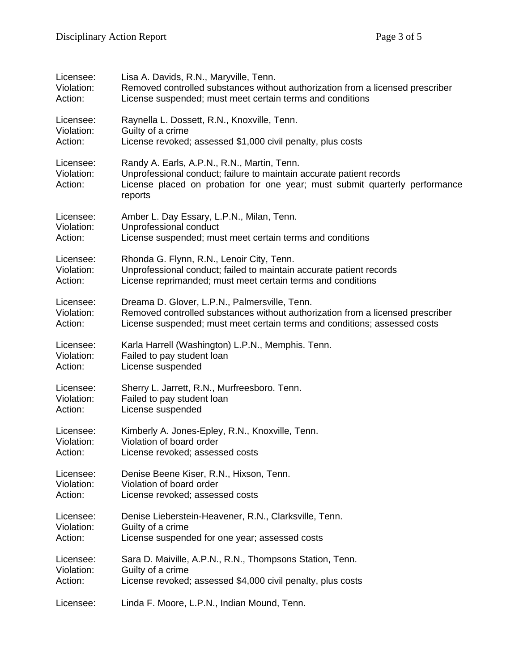| Licensee:                          | Lisa A. Davids, R.N., Maryville, Tenn.                                                                                                                                                                        |
|------------------------------------|---------------------------------------------------------------------------------------------------------------------------------------------------------------------------------------------------------------|
| Violation:                         | Removed controlled substances without authorization from a licensed prescriber                                                                                                                                |
| Action:                            | License suspended; must meet certain terms and conditions                                                                                                                                                     |
| Licensee:                          | Raynella L. Dossett, R.N., Knoxville, Tenn.                                                                                                                                                                   |
| Violation:                         | Guilty of a crime                                                                                                                                                                                             |
| Action:                            | License revoked; assessed \$1,000 civil penalty, plus costs                                                                                                                                                   |
| Licensee:<br>Violation:<br>Action: | Randy A. Earls, A.P.N., R.N., Martin, Tenn.<br>Unprofessional conduct; failure to maintain accurate patient records<br>License placed on probation for one year; must submit quarterly performance<br>reports |
| Licensee:                          | Amber L. Day Essary, L.P.N., Milan, Tenn.                                                                                                                                                                     |
| Violation:                         | Unprofessional conduct                                                                                                                                                                                        |
| Action:                            | License suspended; must meet certain terms and conditions                                                                                                                                                     |
| Licensee:                          | Rhonda G. Flynn, R.N., Lenoir City, Tenn.                                                                                                                                                                     |
| Violation:                         | Unprofessional conduct; failed to maintain accurate patient records                                                                                                                                           |
| Action:                            | License reprimanded; must meet certain terms and conditions                                                                                                                                                   |
| Licensee:                          | Dreama D. Glover, L.P.N., Palmersville, Tenn.                                                                                                                                                                 |
| Violation:                         | Removed controlled substances without authorization from a licensed prescriber                                                                                                                                |
| Action:                            | License suspended; must meet certain terms and conditions; assessed costs                                                                                                                                     |
| Licensee:                          | Karla Harrell (Washington) L.P.N., Memphis. Tenn.                                                                                                                                                             |
| Violation:                         | Failed to pay student loan                                                                                                                                                                                    |
| Action:                            | License suspended                                                                                                                                                                                             |
| Licensee:                          | Sherry L. Jarrett, R.N., Murfreesboro. Tenn.                                                                                                                                                                  |
| Violation:                         | Failed to pay student loan                                                                                                                                                                                    |
| Action:                            | License suspended                                                                                                                                                                                             |
| Licensee:                          | Kimberly A. Jones-Epley, R.N., Knoxville, Tenn.                                                                                                                                                               |
| Violation:                         | Violation of board order                                                                                                                                                                                      |
| Action:                            | License revoked; assessed costs                                                                                                                                                                               |
| Licensee:                          | Denise Beene Kiser, R.N., Hixson, Tenn.                                                                                                                                                                       |
| Violation:                         | Violation of board order                                                                                                                                                                                      |
| Action:                            | License revoked; assessed costs                                                                                                                                                                               |
| Licensee:                          | Denise Lieberstein-Heavener, R.N., Clarksville, Tenn.                                                                                                                                                         |
| Violation:                         | Guilty of a crime                                                                                                                                                                                             |
| Action:                            | License suspended for one year; assessed costs                                                                                                                                                                |
| Licensee:                          | Sara D. Maiville, A.P.N., R.N., Thompsons Station, Tenn.                                                                                                                                                      |
| Violation:                         | Guilty of a crime                                                                                                                                                                                             |
| Action:                            | License revoked; assessed \$4,000 civil penalty, plus costs                                                                                                                                                   |
| Licensee:                          | Linda F. Moore, L.P.N., Indian Mound, Tenn.                                                                                                                                                                   |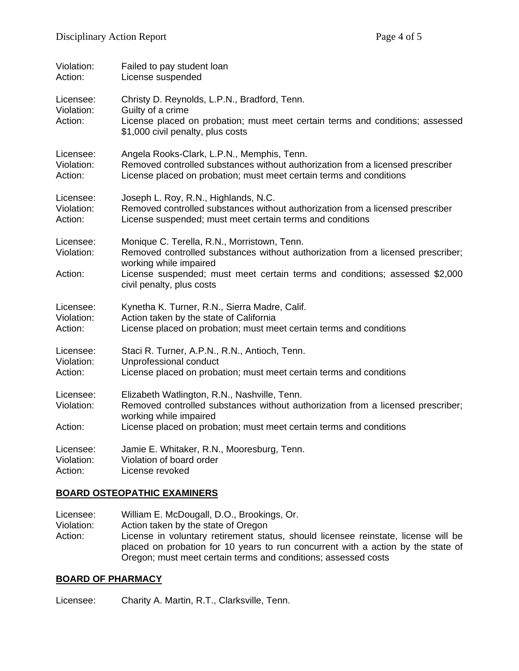| Violation:                         | Failed to pay student loan                                                                                                                                                                                                                                           |
|------------------------------------|----------------------------------------------------------------------------------------------------------------------------------------------------------------------------------------------------------------------------------------------------------------------|
| Action:                            | License suspended                                                                                                                                                                                                                                                    |
| Licensee:<br>Violation:<br>Action: | Christy D. Reynolds, L.P.N., Bradford, Tenn.<br>Guilty of a crime<br>License placed on probation; must meet certain terms and conditions; assessed<br>\$1,000 civil penalty, plus costs                                                                              |
| Licensee:                          | Angela Rooks-Clark, L.P.N., Memphis, Tenn.                                                                                                                                                                                                                           |
| Violation:                         | Removed controlled substances without authorization from a licensed prescriber                                                                                                                                                                                       |
| Action:                            | License placed on probation; must meet certain terms and conditions                                                                                                                                                                                                  |
| Licensee:                          | Joseph L. Roy, R.N., Highlands, N.C.                                                                                                                                                                                                                                 |
| Violation:                         | Removed controlled substances without authorization from a licensed prescriber                                                                                                                                                                                       |
| Action:                            | License suspended; must meet certain terms and conditions                                                                                                                                                                                                            |
| Licensee:<br>Violation:<br>Action: | Monique C. Terella, R.N., Morristown, Tenn.<br>Removed controlled substances without authorization from a licensed prescriber;<br>working while impaired<br>License suspended; must meet certain terms and conditions; assessed \$2,000<br>civil penalty, plus costs |
| Licensee:                          | Kynetha K. Turner, R.N., Sierra Madre, Calif.                                                                                                                                                                                                                        |
| Violation:                         | Action taken by the state of California                                                                                                                                                                                                                              |
| Action:                            | License placed on probation; must meet certain terms and conditions                                                                                                                                                                                                  |
| Licensee:                          | Staci R. Turner, A.P.N., R.N., Antioch, Tenn.                                                                                                                                                                                                                        |
| Violation:                         | Unprofessional conduct                                                                                                                                                                                                                                               |
| Action:                            | License placed on probation; must meet certain terms and conditions                                                                                                                                                                                                  |
| Licensee:<br>Violation:            | Elizabeth Watlington, R.N., Nashville, Tenn.<br>Removed controlled substances without authorization from a licensed prescriber;<br>working while impaired                                                                                                            |
| Action:                            | License placed on probation; must meet certain terms and conditions                                                                                                                                                                                                  |
| Licensee:                          | Jamie E. Whitaker, R.N., Mooresburg, Tenn.                                                                                                                                                                                                                           |
| Violation:                         | Violation of board order                                                                                                                                                                                                                                             |
| Action:                            | License revoked                                                                                                                                                                                                                                                      |

#### **BOARD OSTEOPATHIC EXAMINERS**

Licensee: William E. McDougall, D.O., Brookings, Or. Violation: Action taken by the state of Oregon Action: License in voluntary retirement status, should licensee reinstate, license will be placed on probation for 10 years to run concurrent with a action by the state of Oregon; must meet certain terms and conditions; assessed costs

## **BOARD OF PHARMACY**

Licensee: Charity A. Martin, R.T., Clarksville, Tenn.